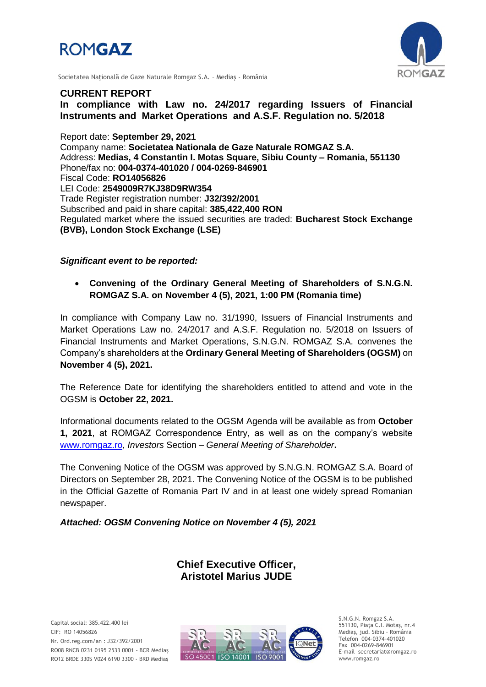



Societatea Naţională de Gaze Naturale Romgaz S.A. – Mediaş - România

### **CURRENT REPORT**

**In compliance with Law no. 24/2017 regarding Issuers of Financial Instruments and Market Operations and A.S.F. Regulation no. 5/2018**

Report date: **September 29, 2021** Company name: **Societatea Nationala de Gaze Naturale ROMGAZ S.A.** Address: **Medias, 4 Constantin I. Motas Square, Sibiu County – Romania, 551130** Phone/fax no: **004-0374-401020 / 004-0269-846901** Fiscal Code: **RO14056826** LEI Code: **2549009R7KJ38D9RW354** Trade Register registration number: **J32/392/2001** Subscribed and paid in share capital: **385,422,400 RON** Regulated market where the issued securities are traded: **Bucharest Stock Exchange (BVB), London Stock Exchange (LSE)**

#### *Significant event to be reported:*

 **Convening of the Ordinary General Meeting of Shareholders of S.N.G.N. ROMGAZ S.A. on November 4 (5), 2021, 1:00 PM (Romania time)**

In compliance with Company Law no. 31/1990, Issuers of Financial Instruments and Market Operations Law no. 24/2017 and A.S.F. Regulation no. 5/2018 on Issuers of Financial Instruments and Market Operations, S.N.G.N. ROMGAZ S.A. convenes the Company's shareholders at the **Ordinary General Meeting of Shareholders (OGSM)** on **November 4 (5), 2021.**

The Reference Date for identifying the shareholders entitled to attend and vote in the OGSM is **October 22, 2021.**

Informational documents related to the OGSM Agenda will be available as from **October 1, 2021**, at ROMGAZ Correspondence Entry, as well as on the company's website [www.romgaz.ro,](http://www.romgaz.ro/) *Investors* Section – *General Meeting of Shareholder***.**

The Convening Notice of the OGSM was approved by S.N.G.N. ROMGAZ S.A. Board of Directors on September 28, 2021. The Convening Notice of the OGSM is to be published in the Official Gazette of Romania Part IV and in at least one widely spread Romanian newspaper.

*Attached: OGSM Convening Notice on November 4 (5), 2021*

# **Chief Executive Officer, Aristotel Marius JUDE**



S.N.G.N. Romgaz S.A. 551130, Piața C.I. Motaş, nr.4 Mediaş, jud. Sibiu - România Telefon 004-0374-401020 Fax 004-0269-846901 E-mail secretariat@romgaz.ro www.romgaz.ro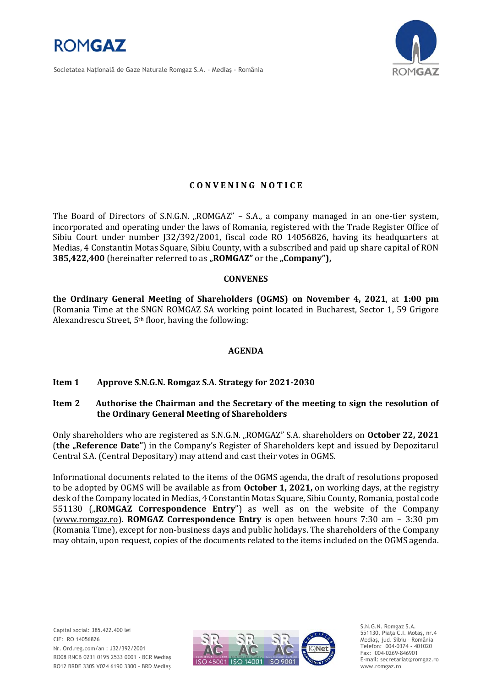

Societatea Naţională de Gaze Naturale Romgaz S.A. – Mediaş - România



## **C O N V E N I N G N O T I C E**

The Board of Directors of S.N.G.N. "ROMGAZ" – S.A., a company managed in an one-tier system, incorporated and operating under the laws of Romania, registered with the Trade Register Office of Sibiu Court under number J32/392/2001, fiscal code RO 14056826, having its headquarters at Medias, 4 Constantin Motas Square, Sibiu County, with a subscribed and paid up share capital of RON **385,422,400** (hereinafter referred to as "ROMGAZ" or the "Company"),

#### **CONVENES**

**the Ordinary General Meeting of Shareholders (OGMS) on November 4, 2021**, at **1:00 pm**  (Romania Time at the SNGN ROMGAZ SA working point located in Bucharest, Sector 1, 59 Grigore Alexandrescu Street, 5th floor, having the following:

## **AGENDA**

## **Item 1 Approve S.N.G.N. Romgaz S.A. Strategy for 2021-2030**

#### **Item 2 Authorise the Chairman and the Secretary of the meeting to sign the resolution of the Ordinary General Meeting of Shareholders**

Only shareholders who are registered as S.N.G.N. "ROMGAZ" S.A. shareholders on **October 22, 2021** (**the "Reference Date"**) in the Company's Register of Shareholders kept and issued by Depozitarul Central S.A. (Central Depositary) may attend and cast their votes in OGMS.

Informational documents related to the items of the OGMS agenda, the draft of resolutions proposed to be adopted by OGMS will be available as from **October 1, 2021,** on working days, at the registry desk of the Company located in Medias, 4 Constantin Motas Square, Sibiu County, Romania, postal code 551130 ("ROMGAZ Correspondence Entry") as well as on the website of the Company [\(www.romgaz.ro\)](http://www.romgaz.ro/). **ROMGAZ Correspondence Entry** is open between hours 7:30 am – 3:30 pm (Romania Time), except for non-business days and public holidays. The shareholders of the Company may obtain, upon request, copies of the documents related to the items included on the OGMS agenda.



S.N.G.N. Romgaz S.A. 551130, Piața C.I. Motaş, nr.4 Mediaş, jud. Sibiu - România Telefon: 004-0374 - 401020 Fax: 004-0269-846901 E-mail: secretariat@romgaz.ro www.romgaz.ro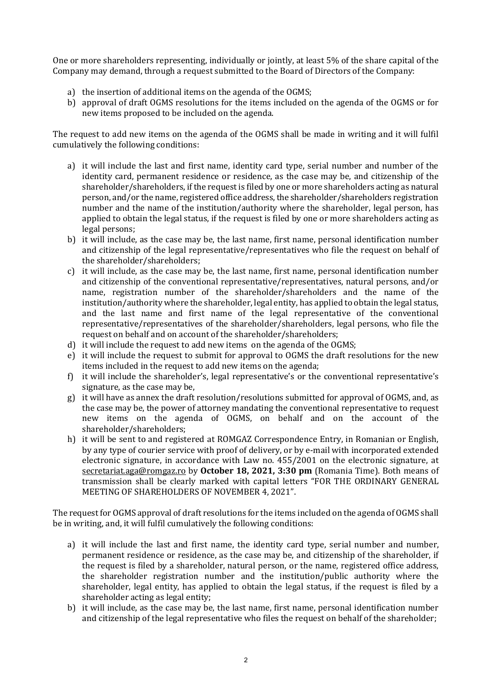One or more shareholders representing, individually or jointly, at least 5% of the share capital of the Company may demand, through a request submitted to the Board of Directors of the Company:

- a) the insertion of additional items on the agenda of the OGMS;
- b) approval of draft OGMS resolutions for the items included on the agenda of the OGMS or for new items proposed to be included on the agenda.

The request to add new items on the agenda of the OGMS shall be made in writing and it will fulfil cumulatively the following conditions:

- a) it will include the last and first name, identity card type, serial number and number of the identity card, permanent residence or residence, as the case may be, and citizenship of the shareholder/shareholders, if the request is filed by one or more shareholders acting as natural person, and/or the name, registered office address, the shareholder/shareholders registration number and the name of the institution/authority where the shareholder, legal person, has applied to obtain the legal status, if the request is filed by one or more shareholders acting as legal persons;
- b) it will include, as the case may be, the last name, first name, personal identification number and citizenship of the legal representative/representatives who file the request on behalf of the shareholder/shareholders;
- c) it will include, as the case may be, the last name, first name, personal identification number and citizenship of the conventional representative/representatives, natural persons, and/or name, registration number of the shareholder/shareholders and the name of the institution/authority where the shareholder, legal entity, has applied to obtain the legal status, and the last name and first name of the legal representative of the conventional representative/representatives of the shareholder/shareholders, legal persons, who file the request on behalf and on account of the shareholder/shareholders;
- d) it will include the request to add new items on the agenda of the OGMS;
- e) it will include the request to submit for approval to OGMS the draft resolutions for the new items included in the request to add new items on the agenda;
- f) it will include the shareholder's, legal representative's or the conventional representative's signature, as the case may be,
- g) it will have as annex the draft resolution/resolutions submitted for approval of OGMS, and, as the case may be, the power of attorney mandating the conventional representative to request new items on the agenda of OGMS, on behalf and on the account of the shareholder/shareholders;
- h) it will be sent to and registered at ROMGAZ Correspondence Entry, in Romanian or English, by any type of courier service with proof of delivery, or by e-mail with incorporated extended electronic signature, in accordance with Law no. 455/2001 on the electronic signature, at [secretariat.aga@romgaz.ro](mailto:secretariat.aga%40romgaz.ro) by **October 18, 2021, 3:30 pm** (Romania Time). Both means of transmission shall be clearly marked with capital letters "FOR THE ORDINARY GENERAL MEETING OF SHAREHOLDERS OF NOVEMBER 4, 2021".

The request for OGMS approval of draft resolutions for the items included on the agenda of OGMS shall be in writing, and, it will fulfil cumulatively the following conditions:

- a) it will include the last and first name, the identity card type, serial number and number, permanent residence or residence, as the case may be, and citizenship of the shareholder, if the request is filed by a shareholder, natural person, or the name, registered office address, the shareholder registration number and the institution/public authority where the shareholder, legal entity, has applied to obtain the legal status, if the request is filed by a shareholder acting as legal entity;
- b) it will include, as the case may be, the last name, first name, personal identification number and citizenship of the legal representative who files the request on behalf of the shareholder;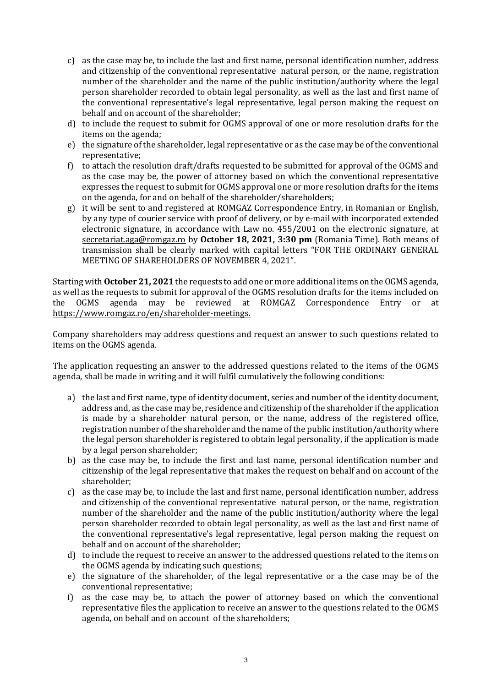- c) as the case may be, to include the last and first name, personal identification number, address and citizenship of the conventional representative natural person, or the name, registration number of the shareholder and the name of the public institution/authority where the legal person shareholder recorded to obtain legal personality, as well as the last and first name of the conventional representative's legal representative, legal person making the request on behalf and on account of the shareholder;
- d) to include the request to submit for OGMS approval of one or more resolution drafts for the items on the agenda;
- e) the signature of the shareholder, legal representative or as the case may be of the conventional representative;
- f) to attach the resolution draft/drafts requested to be submitted for approval of the OGMS and as the case may be, the power of attorney based on which the conventional representative expresses the request to submit for OGMS approval one or more resolution drafts for the items on the agenda, for and on behalf of the shareholder/shareholders;
- g) it will be sent to and registered at ROMGAZ Correspondence Entry, in Romanian or English, by any type of courier service with proof of delivery, or by e-mail with incorporated extended electronic signature, in accordance with Law no. 455/2001 on the electronic signature, at [secretariat.aga@romgaz.ro](mailto:secretariat.aga%40romgaz.ro) by **October 18, 2021, 3:30 pm** (Romania Time). Both means of transmission shall be clearly marked with capital letters "FOR THE ORDINARY GENERAL MEETING OF SHAREHOLDERS OF NOVEMBER 4, 2021".

Starting with **October 21, 2021** the requests to add one or more additional items on the OGMS agenda, as well as the requests to submit for approval of the OGMS resolution drafts for the items included on the OGMS agenda may be reviewed at ROMGAZ Correspondence Entry or at [https://www.romgaz.ro/en/shareholder-meetings.](https://www.romgaz.ro/en/aga)

Company shareholders may address questions and request an answer to such questions related to items on the OGMS agenda.

The application requesting an answer to the addressed questions related to the items of the OGMS agenda, shall be made in writing and it will fulfil cumulatively the following conditions:

- a) the last and first name, type of identity document, series and number of the identity document, address and, as the case may be, residence and citizenship of the shareholder if the application is made by a shareholder natural person, or the name, address of the registered office, registration number of the shareholder and the name of the public institution/authority where the legal person shareholder is registered to obtain legal personality, if the application is made by a legal person shareholder;
- b) as the case may be, to include the first and last name, personal identification number and citizenship of the legal representative that makes the request on behalf and on account of the shareholder;
- c) as the case may be, to include the last and first name, personal identification number, address and citizenship of the conventional representative natural person, or the name, registration number of the shareholder and the name of the public institution/authority where the legal person shareholder recorded to obtain legal personality, as well as the last and first name of the conventional representative's legal representative, legal person making the request on behalf and on account of the shareholder;
- d) to include the request to receive an answer to the addressed questions related to the items on the OGMS agenda by indicating such questions;
- e) the signature of the shareholder, of the legal representative or a the case may be of the conventional representative;
- f) as the case may be, to attach the power of attorney based on which the conventional representative files the application to receive an answer to the questions related to the OGMS agenda, on behalf and on account of the shareholders;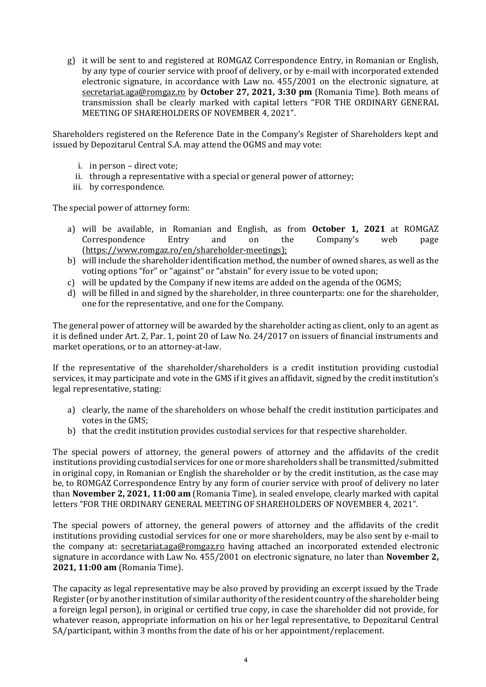g) it will be sent to and registered at ROMGAZ Correspondence Entry, in Romanian or English, by any type of courier service with proof of delivery, or by e-mail with incorporated extended electronic signature, in accordance with Law no. 455/2001 on the electronic signature, at [secretariat.aga@romgaz.ro](mailto:secretariat.aga%40romgaz.ro) by **October 27, 2021, 3:30 pm** (Romania Time). Both means of transmission shall be clearly marked with capital letters "FOR THE ORDINARY GENERAL MEETING OF SHAREHOLDERS OF NOVEMBER 4, 2021".

Shareholders registered on the Reference Date in the Company's Register of Shareholders kept and issued by Depozitarul Central S.A. may attend the OGMS and may vote:

- i. in person direct vote;
- ii. through a representative with a special or general power of attorney;
- iii. by correspondence.

The special power of attorney form:

- a) will be available, in Romanian and English, as from **October 1, 2021** at ROMGAZ Correspondence Entry and on the Company's web page [\(https://www.romgaz.ro/en/shareholder-meetings\)](https://www.romgaz.ro/en/aga);
- b) will include the shareholder identification method, the number of owned shares, as well as the voting options "for" or "against" or "abstain" for every issue to be voted upon;
- c) will be updated by the Company if new items are added on the agenda of the OGMS;
- d) will be filled in and signed by the shareholder, in three counterparts: one for the shareholder, one for the representative, and one for the Company.

The general power of attorney will be awarded by the shareholder acting as client, only to an agent as it is defined under Art. 2, Par. 1, point 20 of Law No. 24/2017 on issuers of financial instruments and market operations, or to an attorney-at-law.

If the representative of the shareholder/shareholders is a credit institution providing custodial services, it may participate and vote in the GMS if it gives an affidavit, signed by the credit institution's legal representative, stating:

- a) clearly, the name of the shareholders on whose behalf the credit institution participates and votes in the GMS;
- b) that the credit institution provides custodial services for that respective shareholder.

The special powers of attorney, the general powers of attorney and the affidavits of the credit institutions providing custodial services for one or more shareholders shall be transmitted/submitted in original copy, in Romanian or English the shareholder or by the credit institution, as the case may be, to ROMGAZ Correspondence Entry by any form of courier service with proof of delivery no later than **November 2, 2021, 11:00 am** (Romania Time), in sealed envelope, clearly marked with capital letters "FOR THE ORDINARY GENERAL MEETING OF SHAREHOLDERS OF NOVEMBER 4, 2021".

The special powers of attorney, the general powers of attorney and the affidavits of the credit institutions providing custodial services for one or more shareholders, may be also sent by e-mail to the company at: [secretariat.aga@romgaz.ro](mailto:secretariat.aga%40romgaz.ro) having attached an incorporated extended electronic signature in accordance with Law No. 455/2001 on electronic signature, no later than **November 2, 2021, 11:00 am** (Romania Time).

The capacity as legal representative may be also proved by providing an excerpt issued by the Trade Register (or by another institution of similar authority of the resident country of the shareholder being a foreign legal person), in original or certified true copy, in case the shareholder did not provide, for whatever reason, appropriate information on his or her legal representative, to Depozitarul Central SA/participant, within 3 months from the date of his or her appointment/replacement.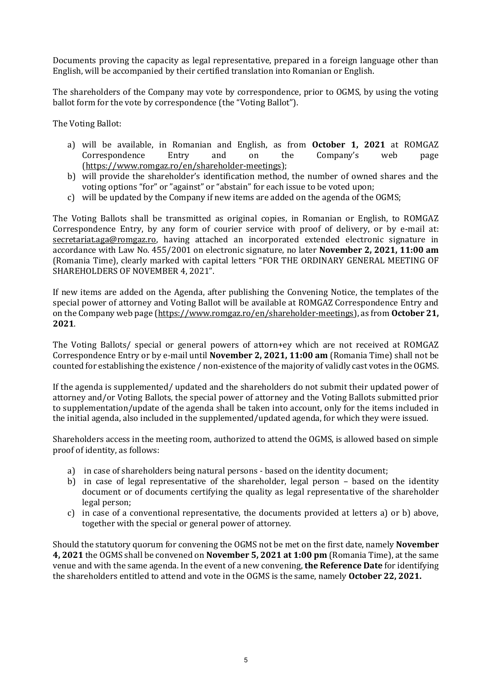Documents proving the capacity as legal representative, prepared in a foreign language other than English, will be accompanied by their certified translation into Romanian or English.

The shareholders of the Company may vote by correspondence, prior to OGMS, by using the voting ballot form for the vote by correspondence (the "Voting Ballot").

The Voting Ballot:

- a) will be available, in Romanian and English, as from **October 1, 2021** at ROMGAZ Correspondence Entry and on the Company's web page [\(https://www.romgaz.ro/en/shareholder-meetings\)](https://www.romgaz.ro/en/aga);
- b) will provide the shareholder's identification method, the number of owned shares and the voting options "for" or "against" or "abstain" for each issue to be voted upon;
- c) will be updated by the Company if new items are added on the agenda of the OGMS;

The Voting Ballots shall be transmitted as original copies, in Romanian or English, to ROMGAZ Correspondence Entry, by any form of courier service with proof of delivery, or by e-mail at: [secretariat.aga@romgaz.ro,](mailto:secretariat.aga%40romgaz.ro) having attached an incorporated extended electronic signature in accordance with Law No. 455/2001 on electronic signature, no later **November 2, 2021, 11:00 am**  (Romania Time), clearly marked with capital letters "FOR THE ORDINARY GENERAL MEETING OF SHAREHOLDERS OF NOVEMBER 4, 2021".

If new items are added on the Agenda, after publishing the Convening Notice, the templates of the special power of attorney and Voting Ballot will be available at ROMGAZ Correspondence Entry and on the Company web page [\(https://www.romgaz.ro/en/shareholder-meetings\)](https://www.romgaz.ro/en/aga), as from **October 21, 2021**.

The Voting Ballots/ special or general powers of attorn+ey which are not received at ROMGAZ Correspondence Entry or by e-mail until **November 2, 2021, 11:00 am** (Romania Time) shall not be counted for establishing the existence / non-existence of the majority of validly cast votes in the OGMS.

If the agenda is supplemented/ updated and the shareholders do not submit their updated power of attorney and/or Voting Ballots, the special power of attorney and the Voting Ballots submitted prior to supplementation/update of the agenda shall be taken into account, only for the items included in the initial agenda, also included in the supplemented/updated agenda, for which they were issued.

Shareholders access in the meeting room, authorized to attend the OGMS, is allowed based on simple proof of identity, as follows:

- a) in case of shareholders being natural persons based on the identity document;
- b) in case of legal representative of the shareholder, legal person based on the identity document or of documents certifying the quality as legal representative of the shareholder legal person;
- c) in case of a conventional representative, the documents provided at letters a) or b) above, together with the special or general power of attorney.

Should the statutory quorum for convening the OGMS not be met on the first date, namely **November 4, 2021** the OGMS shall be convened on **November 5, 2021 at 1:00 pm** (Romania Time), at the same venue and with the same agenda. In the event of a new convening, **the Reference Date** for identifying the shareholders entitled to attend and vote in the OGMS is the same, namely **October 22, 2021.**